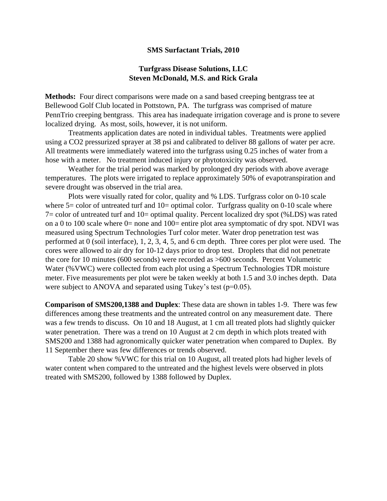## **SMS Surfactant Trials, 2010**

## **Turfgrass Disease Solutions, LLC Steven McDonald, M.S. and Rick Grala**

**Methods:** Four direct comparisons were made on a sand based creeping bentgrass tee at Bellewood Golf Club located in Pottstown, PA. The turfgrass was comprised of mature PennTrio creeping bentgrass. This area has inadequate irrigation coverage and is prone to severe localized drying. As most, soils, however, it is not uniform.

Treatments application dates are noted in individual tables. Treatments were applied using a CO2 pressurized sprayer at 38 psi and calibrated to deliver 88 gallons of water per acre. All treatments were immediately watered into the turfgrass using 0.25 inches of water from a hose with a meter. No treatment induced injury or phytotoxicity was observed.

Weather for the trial period was marked by prolonged dry periods with above average temperatures. The plots were irrigated to replace approximately 50% of evapotranspiration and severe drought was observed in the trial area.

Plots were visually rated for color, quality and % LDS. Turfgrass color on 0-10 scale where  $5 =$  color of untreated turf and  $10 =$  optimal color. Turfgrass quality on 0-10 scale where 7= color of untreated turf and 10= optimal quality. Percent localized dry spot (%LDS) was rated on a 0 to 100 scale where  $0=$  none and 100= entire plot area symptomatic of dry spot. NDVI was measured using Spectrum Technologies Turf color meter. Water drop penetration test was performed at 0 (soil interface), 1, 2, 3, 4, 5, and 6 cm depth. Three cores per plot were used. The cores were allowed to air dry for 10-12 days prior to drop test. Droplets that did not penetrate the core for 10 minutes (600 seconds) were recorded as >600 seconds. Percent Volumetric Water (%VWC) were collected from each plot using a Spectrum Technologies TDR moisture meter. Five measurements per plot were be taken weekly at both 1.5 and 3.0 inches depth. Data were subject to ANOVA and separated using Tukey's test  $(p=0.05)$ .

**Comparison of SMS200,1388 and Duplex**: These data are shown in tables 1-9. There was few differences among these treatments and the untreated control on any measurement date. There was a few trends to discuss. On 10 and 18 August, at 1 cm all treated plots had slightly quicker water penetration. There was a trend on 10 August at 2 cm depth in which plots treated with SMS200 and 1388 had agronomically quicker water penetration when compared to Duplex. By 11 September there was few differences or trends observed.

Table 20 show %VWC for this trial on 10 August, all treated plots had higher levels of water content when compared to the untreated and the highest levels were observed in plots treated with SMS200, followed by 1388 followed by Duplex.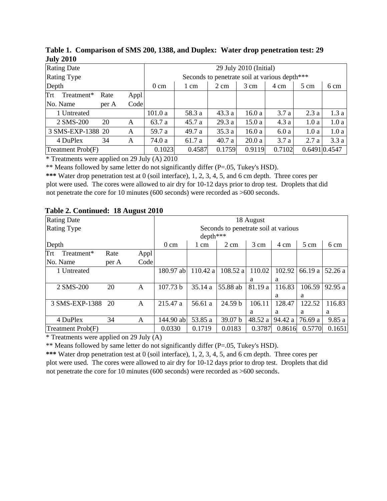| $0.411 - 0.40$     |       |      |                                               |        |                |        |        |                |               |
|--------------------|-------|------|-----------------------------------------------|--------|----------------|--------|--------|----------------|---------------|
| <b>Rating Date</b> |       |      | 29 July 2010 (Initial)                        |        |                |        |        |                |               |
| <b>Rating Type</b> |       |      | Seconds to penetrate soil at various depth*** |        |                |        |        |                |               |
| Depth              |       |      | $0 \text{ cm}$                                | 1 cm   | $2 \text{ cm}$ | 3 cm   | 4 cm   | $5 \text{ cm}$ | 6 cm          |
| Trt<br>Treatment*  | Rate  | Appl |                                               |        |                |        |        |                |               |
| No. Name           | per A | Code |                                               |        |                |        |        |                |               |
| 1 Untreated        |       |      | 101.0a                                        | 58.3 a | 43.3a          | 16.0a  | 3.7a   | 2.3a           | 1.3a          |
| 2 SMS-200          | 20    | A    | 63.7 a                                        | 45.7 a | 29.3a          | 15.0a  | 4.3a   | 1.0a           | 1.0a          |
| 3 SMS-EXP-1388 20  |       | A    | 59.7 a                                        | 49.7 a | 35.3a          | 16.0a  | 6.0a   | 1.0a           | 1.0a          |
| 4 DuPlex           | 34    | A    | 74.0 a                                        | 61.7 a | 40.7a          | 20.0a  | 3.7a   | 2.7a           | 3.3a          |
| Treatment Prob(F)  |       |      | 0.1023                                        | 0.4587 | 0.1759         | 0.9119 | 0.7102 |                | 0.6491 0.4547 |

**Table 1. Comparison of SMS 200, 1388, and Duplex: Water drop penetration test: 29 July 2010**

\* Treatments were applied on 29 July (A) 2010

\*\* Means followed by same letter do not significantly differ (P=.05, Tukey's HSD).

**\*\*\*** Water drop penetration test at 0 (soil interface), 1, 2, 3, 4, 5, and 6 cm depth. Three cores per plot were used. The cores were allowed to air dry for 10-12 days prior to drop test. Droplets that did not penetrate the core for 10 minutes (600 seconds) were recorded as >600 seconds.

| <b>Rating Date</b> |       |              | 18 August                            |          |                |                |         |         |         |  |  |
|--------------------|-------|--------------|--------------------------------------|----------|----------------|----------------|---------|---------|---------|--|--|
| <b>Rating Type</b> |       |              | Seconds to penetrate soil at various |          |                |                |         |         |         |  |  |
|                    |       |              |                                      | depth*** |                |                |         |         |         |  |  |
| Depth              |       |              | $0 \text{ cm}$                       | 1 cm     | $2 \text{ cm}$ | $3 \text{ cm}$ | 4 cm    | 5 cm    | 6 cm    |  |  |
| Treatment*<br>Trt  | Rate  | Appl         |                                      |          |                |                |         |         |         |  |  |
| No. Name           | per A | Code         |                                      |          |                |                |         |         |         |  |  |
| 1 Untreated        |       |              | 180.97 ab                            | 110.42 a | 108.52 a       | 110.02         | 102.92  | 66.19 a | 52.26 a |  |  |
|                    |       |              |                                      |          |                | a              | a       |         |         |  |  |
| 2 SMS-200          | 20    | $\mathsf{A}$ | 107.73 b                             | 35.14 a  | 55.88 ab       | 81.19 a        | 116.83  | 106.59  | 92.95a  |  |  |
|                    |       |              |                                      |          |                |                | a       | a       |         |  |  |
| 3 SMS-EXP-1388     | 20    | A            | 215.47 a                             | 56.61 a  | 24.59 b        | 106.11         | 128.47  | 122.52  | 116.83  |  |  |
|                    |       |              |                                      |          |                | a              | a       | a       | a       |  |  |
| 4 DuPlex           | 34    | A            | 144.90 ab                            | 53.85 a  | 39.07 b        | 48.52 a        | 94.42 a | 76.69 a | 9.85a   |  |  |
| Treatment Prob(F)  |       |              | 0.0330                               | 0.1719   | 0.0183         | 0.3787         | 0.8616  | 0.5770  | 0.1651  |  |  |

## **Table 2. Continued: 18 August 2010**

 $*$  Treatments were applied on 29 July (A)

\*\* Means followed by same letter do not significantly differ (P=.05, Tukey's HSD).

**\*\*\*** Water drop penetration test at 0 (soil interface), 1, 2, 3, 4, 5, and 6 cm depth. Three cores per plot were used. The cores were allowed to air dry for 10-12 days prior to drop test. Droplets that did not penetrate the core for 10 minutes (600 seconds) were recorded as >600 seconds.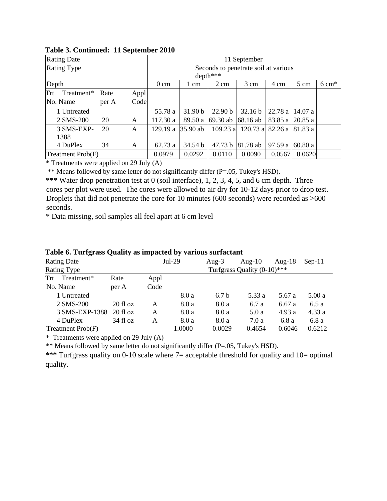| <b>Rating Date</b> |       |      | 11 September                         |                   |                |                    |         |                |                  |  |  |
|--------------------|-------|------|--------------------------------------|-------------------|----------------|--------------------|---------|----------------|------------------|--|--|
| <b>Rating Type</b> |       |      | Seconds to penetrate soil at various |                   |                |                    |         |                |                  |  |  |
|                    |       |      |                                      | $depth***$        |                |                    |         |                |                  |  |  |
| Depth              |       |      | $0 \text{ cm}$                       | 1 cm              | $2 \text{ cm}$ | $3 \text{ cm}$     | 4 cm    | $5 \text{ cm}$ | $6 \text{ cm}^*$ |  |  |
| Trt<br>Treatment*  | Rate  | Appl |                                      |                   |                |                    |         |                |                  |  |  |
| No. Name           | per A | Code |                                      |                   |                |                    |         |                |                  |  |  |
| 1 Untreated        |       |      | 55.78 a                              | 31.90 b           | 22.90 b        | 32.16 <sub>b</sub> | 22.78 a | 14.07a         |                  |  |  |
| 2 SMS-200          | 20    | A    | 117.30 a                             | 89.50 a           | 69.30 ab       | 68.16 ab           | 83.85 a | 20.85a         |                  |  |  |
| 3 SMS-EXP-         | 20    | A    | 129.19 a                             | $ 35.90ab\rangle$ | $109.23$ a     | $120.73$ a         | 82.26 a | 81.83 a        |                  |  |  |
| 1388               |       |      |                                      |                   |                |                    |         |                |                  |  |  |
| 4 DuPlex           | 34    | Α    | 62.73 a                              | 34.54 b           | 47.73 b        | 81.78 ab           | 97.59 a | 60.80a         |                  |  |  |
| Treatment Prob(F)  |       |      | 0.0979                               | 0.0292            | 0.0110         | 0.0090             | 0.0567  | 0.0620         |                  |  |  |

## **Table 3. Continued: 11 September 2010**

 $*$  Treatments were applied on 29 July (A)

\*\* Means followed by same letter do not significantly differ (P=.05, Tukey's HSD).

**\*\*\*** Water drop penetration test at 0 (soil interface), 1, 2, 3, 4, 5, and 6 cm depth. Three cores per plot were used. The cores were allowed to air dry for 10-12 days prior to drop test. Droplets that did not penetrate the core for 10 minutes (600 seconds) were recorded as >600 seconds.

\* Data missing, soil samples all feel apart at 6 cm level

| $\mathbf{v}$ and $\mathbf{v}$              |      |        |                  |           |           |          |
|--------------------------------------------|------|--------|------------------|-----------|-----------|----------|
| <b>Rating Date</b>                         |      |        | Aug- $3$         | Aug- $10$ | Aug- $18$ | $Sep-11$ |
| Turfgrass Quality (0-10)***<br>Rating Type |      |        |                  |           |           |          |
| Rate                                       | Appl |        |                  |           |           |          |
| per A                                      | Code |        |                  |           |           |          |
|                                            |      | 8.0 a  | 6.7 <sub>b</sub> | 5.33 a    | 5.67 a    | 5.00a    |
| $20$ fl oz                                 | A    | 8.0a   | 8.0 a            | 6.7a      | 6.67a     | 6.5a     |
| 3 SMS-EXP-1388<br>$20$ fl oz               | A    | 8.0 a  | 8.0 a            | 5.0a      | 4.93a     | 4.33a    |
| $34 \text{ fl oz}$                         | Α    | 8.0 a  | 8.0 a            | 7.0a      | 6.8a      | 6.8a     |
|                                            |      | 1.0000 | 0.0029           | 0.4654    | 0.6046    | 0.6212   |
|                                            |      |        | $Jul-29$         |           |           |          |

**Table 6. Turfgrass Quality as impacted by various surfactant** 

\* Treatments were applied on 29 July (A)

\*\* Means followed by same letter do not significantly differ (P=.05, Tukey's HSD).

**\*\*\*** Turfgrass quality on 0-10 scale where 7= acceptable threshold for quality and 10= optimal quality.